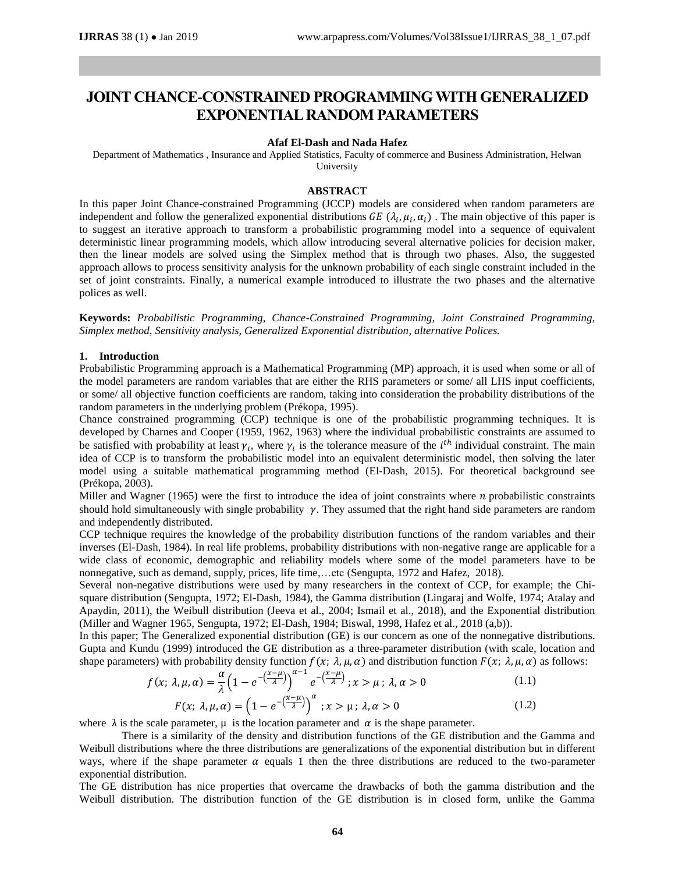# **JOINT CHANCE-CONSTRAINED PROGRAMMING WITH GENERALIZED EXPONENTIAL RANDOM PARAMETERS**

#### **Afaf El-Dash and Nada Hafez**

Department of Mathematics , Insurance and Applied Statistics, Faculty of commerce and Business Administration, Helwan University

#### **ABSTRACT**

In this paper Joint Chance-constrained Programming (JCCP) models are considered when random parameters are independent and follow the generalized exponential distributions  $GE(\lambda_i, \mu_i, \alpha_i)$ . The main objective of this paper is to suggest an iterative approach to transform a probabilistic programming model into a sequence of equivalent deterministic linear programming models, which allow introducing several alternative policies for decision maker, then the linear models are solved using the Simplex method that is through two phases. Also, the suggested approach allows to process sensitivity analysis for the unknown probability of each single constraint included in the set of joint constraints. Finally, a numerical example introduced to illustrate the two phases and the alternative polices as well.

**Keywords:** *Probabilistic Programming, Chance-Constrained Programming, Joint Constrained Programming, Simplex method, Sensitivity analysis, Generalized Exponential distribution, alternative Polices.*

# **1. Introduction**

Probabilistic Programming approach is a Mathematical Programming (MP) approach, it is used when some or all of the model parameters are random variables that are either the RHS parameters or some/ all LHS input coefficients, or some/ all objective function coefficients are random, taking into consideration the probability distributions of the random parameters in the underlying problem (Prékopa, 1995).

Chance constrained programming (CCP) technique is one of the probabilistic programming techniques. It is developed by Charnes and Cooper (1959, 1962, 1963) where the individual probabilistic constraints are assumed to be satisfied with probability at least  $\gamma_i$ , where  $\gamma_i$  is the tolerance measure of the *i*<sup>th</sup> individual constraint. The main idea of CCP is to transform the probabilistic model into an equivalent deterministic model, then solving the later model using a suitable mathematical programming method (El-Dash, 2015). For theoretical background see (Prékopa, 2003).

Miller and Wagner (1965) were the first to introduce the idea of joint constraints where  $n$  probabilistic constraints should hold simultaneously with single probability  $\gamma$ . They assumed that the right hand side parameters are random and independently distributed.

CCP technique requires the knowledge of the probability distribution functions of the random variables and their inverses (El-Dash, 1984). In real life problems, probability distributions with non-negative range are applicable for a wide class of economic, demographic and reliability models where some of the model parameters have to be nonnegative, such as demand, supply, prices, life time,…etc (Sengupta, 1972 and Hafez, 2018).

Several non-negative distributions were used by many researchers in the context of CCP, for example; the Chisquare distribution (Sengupta, 1972; El-Dash, 1984), the Gamma distribution (Lingaraj and Wolfe, 1974; Atalay and Apaydin, 2011), the Weibull distribution (Jeeva et al., 2004; Ismail et al., 2018), and the Exponential distribution (Miller and Wagner 1965, Sengupta, 1972; El-Dash, 1984; Biswal, 1998, Hafez et al., 2018 (a,b)).

In this paper; The Generalized exponential distribution (GE) is our concern as one of the nonnegative distributions. Gupta and Kundu (1999) introduced the GE distribution as a three-parameter distribution (with scale, location and shape parameters) with probability density function  $f(x; \lambda, \mu, \alpha)$  and distribution function  $F(x; \lambda, \mu, \alpha)$  as follows:

$$
f(x; \lambda, \mu, \alpha) = \frac{\alpha}{\lambda} \left( 1 - e^{-\left(\frac{x-\mu}{\lambda}\right)} \right)^{\alpha-1} e^{-\left(\frac{x-\mu}{\lambda}\right)}; x > \mu; \lambda, \alpha > 0
$$
\n
$$
F(x; \lambda, \mu, \alpha) = \left( 1 - e^{-\left(\frac{x-\mu}{\lambda}\right)} \right)^{\alpha}; x > \mu; \lambda, \alpha > 0
$$
\n
$$
(1.1)
$$
\n
$$
(1.2)
$$

where  $\lambda$  is the scale parameter,  $\mu$  is the location parameter and  $\alpha$  is the shape parameter.

There is a similarity of the density and distribution functions of the GE distribution and the Gamma and Weibull distributions where the three distributions are generalizations of the exponential distribution but in different ways, where if the shape parameter  $\alpha$  equals 1 then the three distributions are reduced to the two-parameter exponential distribution.

The GE distribution has nice properties that overcame the drawbacks of both the gamma distribution and the Weibull distribution. The distribution function of the GE distribution is in closed form, unlike the Gamma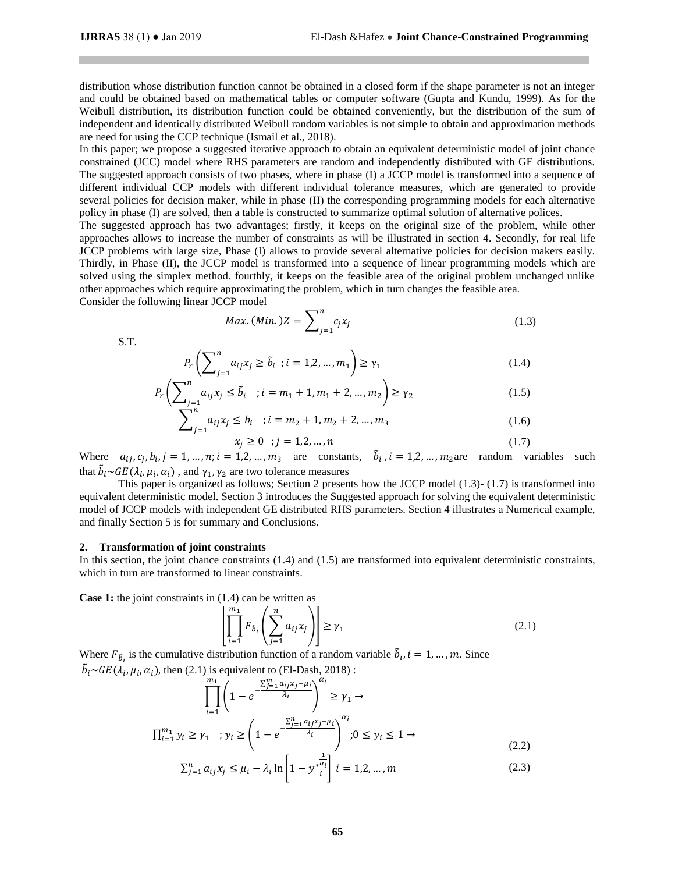distribution whose distribution function cannot be obtained in a closed form if the shape parameter is not an integer and could be obtained based on mathematical tables or computer software (Gupta and Kundu, 1999). As for the Weibull distribution, its distribution function could be obtained conveniently, but the distribution of the sum of independent and identically distributed Weibull random variables is not simple to obtain and approximation methods are need for using the CCP technique (Ismail et al., 2018).

In this paper; we propose a suggested iterative approach to obtain an equivalent deterministic model of joint chance constrained (JCC) model where RHS parameters are random and independently distributed with GE distributions. The suggested approach consists of two phases, where in phase (I) a JCCP model is transformed into a sequence of different individual CCP models with different individual tolerance measures, which are generated to provide several policies for decision maker, while in phase (II) the corresponding programming models for each alternative policy in phase (I) are solved, then a table is constructed to summarize optimal solution of alternative polices.

The suggested approach has two advantages; firstly, it keeps on the original size of the problem, while other approaches allows to increase the number of constraints as will be illustrated in section 4. Secondly, for real life JCCP problems with large size, Phase (I) allows to provide several alternative policies for decision makers easily. Thirdly, in Phase (II), the JCCP model is transformed into a sequence of linear programming models which are solved using the simplex method. fourthly, it keeps on the feasible area of the original problem unchanged unlike other approaches which require approximating the problem, which in turn changes the feasible area. Consider the following linear JCCP model

<span id="page-1-0"></span>
$$
Max. (Min.)Z = \sum_{j=1}^{n} c_j x_j
$$
\n(1.3)

S.T.

$$
P_r\left(\sum_{j=1}^n a_{ij}x_j \ge \tilde{b}_i \; ; i=1,2,\dots,m_1\right) \ge \gamma_1\tag{1.4}
$$

$$
P_r\left(\sum_{j=1}^n a_{ij} x_j \le \tilde{b}_i \quad ; i = m_1 + 1, m_1 + 2, \dots, m_2\right) \ge \gamma_2 \tag{1.5}
$$

$$
\sum_{j=1}^{n} a_{ij} x_j \le b_i \quad ; i = m_2 + 1, m_2 + 2, \dots, m_3 \tag{1.6}
$$

<span id="page-1-3"></span><span id="page-1-2"></span><span id="page-1-1"></span>
$$
x_j \ge 0 \quad ; j = 1, 2, \dots, n \tag{1.7}
$$

Where  $a_{ij}, c_j, b_i, j = 1, ..., n; i = 1, 2, ..., m_3$  are constants,  $\tilde{b}_i$ ,  $i = 1, 2, ..., m_2$  are random variables such that  $\tilde{b}_i{\sim}GE(\lambda_i,\mu_i,\alpha_i)$  , and  $\gamma_1,\gamma_2$  are two tolerance measures

This paper is organized as follows; Section 2 presents how the JCCP model [\(1.3\)-](#page-1-0) [\(1.7\)](#page-1-1) is transformed into equivalent deterministic model. Section 3 introduces the Suggested approach for solving the equivalent deterministic model of JCCP models with independent GE distributed RHS parameters. Section 4 illustrates a Numerical example, and finally Section 5 is for summary and Conclusions.

#### **2. Transformation of joint constraints**

In this section, the joint chance constraints [\(1.4\)](#page-1-2) and [\(1.5\)](#page-1-3) are transformed into equivalent deterministic constraints, which in turn are transformed to linear constraints.

**Case 1:** the joint constraints in [\(1.4\)](#page-1-2) can be written as

<span id="page-1-6"></span><span id="page-1-5"></span><span id="page-1-4"></span>
$$
\left[\prod_{i=1}^{m_1} F_{\tilde{b}_i} \left(\sum_{j=1}^n a_{ij} x_j\right)\right] \ge \gamma_1 \tag{2.1}
$$

Where  $F_{\tilde{b}_i}$  is the cumulative distribution function of a random variable  $\tilde{b}_i$ ,  $i = 1, ..., m$ . Since  $\tilde{b}_i \sim$ GE( $\lambda_i$ 

$$
\mu_i, \alpha_i
$$
, then (2.1) is equivalent to (El-Dash, 2018):  
\n
$$
\prod_{i=1}^{m_1} \left(1 - e^{-\frac{\sum_{j=1}^{m} a_{ij} x_j - \mu_i}{\lambda_i}}\right)^{\alpha_i} \ge \gamma_1 \to
$$
\n
$$
\prod_{i=1}^{m_1} y_i \ge \gamma_1 \quad ; y_i \ge \left(1 - e^{-\frac{\sum_{j=1}^{n} a_{ij} x_j - \mu_i}{\lambda_i}}\right)^{\alpha_i}; 0 \le y_i \le 1 \to
$$
\n(2.2)

$$
\sum_{j=1}^{n} a_{ij} x_j \le \mu_i - \lambda_i \ln \left[ 1 - y^* \frac{\overline{a_i}}{i} \right] \quad i = 1, 2, \dots, m
$$
\n(2.3)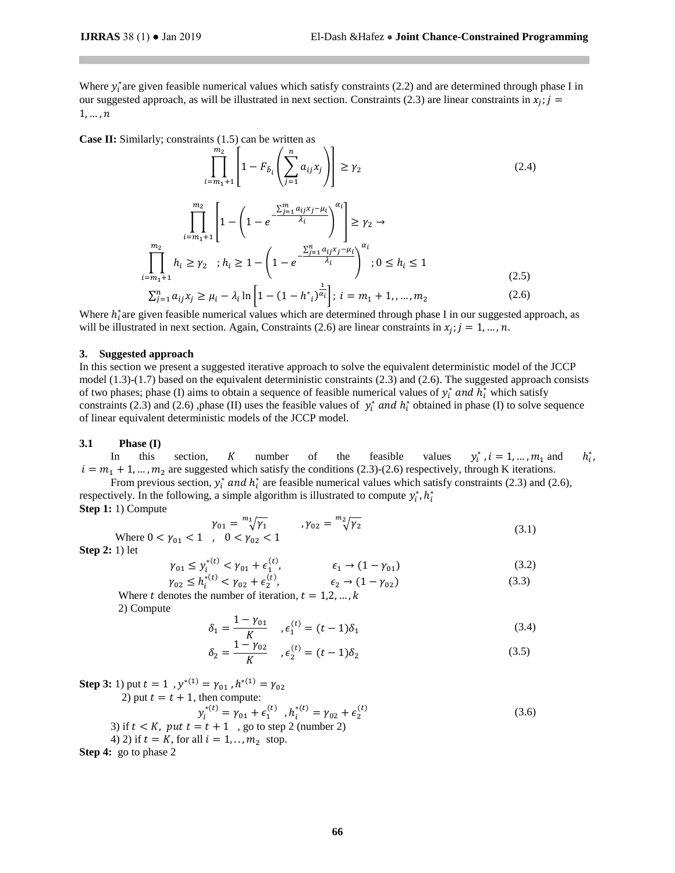Where  $y_i^*$  are given feasible numerical values which satisfy constraints [\(2.2\)](#page-1-5) and are determined through phase I in our suggested approach, as will be illustrated in next section. Constraints [\(2.3\)](#page-1-6) are linear constraints in  $x_j$ ;  $j =$  $1, \ldots, n$ 

**Case II:** Similarly; constraints [\(1.5\)](#page-1-3) can be written as

<span id="page-2-0"></span>
$$
\prod_{i=m_{1}+1}^{m_{2}} \left[ 1 - F_{\tilde{b}_{i}} \left( \sum_{j=1}^{n} a_{ij} x_{j} \right) \right] \geq \gamma_{2}
$$
\n
$$
\prod_{i=m_{1}+1}^{m_{2}} \left[ 1 - \left( 1 - e^{-\frac{\sum_{j=1}^{m} a_{ij} x_{j} - \mu_{i}}{\lambda_{i}}} \right)^{\alpha_{i}} \right] \geq \gamma_{2} \to
$$
\n
$$
\prod_{i=m_{1}+1}^{m_{2}} h_{i} \geq \gamma_{2} \quad ; h_{i} \geq 1 - \left( 1 - e^{-\frac{\sum_{j=1}^{n} a_{ij} x_{j} - \mu_{i}}{\lambda_{i}}} \right)^{\alpha_{i}}; 0 \leq h_{i} \leq 1
$$
\n
$$
\sum_{j=1}^{n} a_{ij} x_{j} \geq \mu_{i} - \lambda_{i} \ln \left[ 1 - (1 - h^{*}_{i})^{\frac{1}{\alpha_{i}}} \right]; i = m_{1} + 1, ..., m_{2}
$$
\n(2.6)

Where  $h_i^*$  are given feasible numerical values which are determined through phase I in our suggested approach, as will be illustrated in next section. Again, Constraints [\(2.6\)](#page-2-0) are linear constraints in  $x_j$ ;  $j = 1, ..., n$ .

#### **3. Suggested approach**

In this section we present a suggested iterative approach to solve the equivalent deterministic model of the JCCP model  $(1.3)-(1.7)$  $(1.3)-(1.7)$  based on the equivalent deterministic constraints  $(2.3)$  and  $(2.6)$ . The suggested approach consists of two phases; phase (I) aims to obtain a sequence of feasible numerical values of  $y_i^*$  and  $h_i^*$  which satisfy constraints [\(2.3\)](#page-1-6) and [\(2.6\)](#page-2-0) ,phase (II) uses the feasible values of  $y_i^*$  and  $h_i^*$  obtained in phase (I) to solve sequence of linear equivalent deterministic models of the JCCP model.

# **3.1 Phase (I)**

In this section,  $K$  number of the feasible values  $y_i$  $i$ ,  $i = 1, ..., m_1$  and  $h_i^*$ ∗ ,  $i = m_1 + 1, ..., m_2$  are suggested which satisfy the conditions [\(2.3\)](#page-1-6)[-\(2.6\)](#page-2-0) respectively, through K iterations.

From previous section,  $y_i^*$  and  $h_i^*$  are feasible numerical values which satisfy constraints [\(2.3\)](#page-1-6) and [\(2.6\),](#page-2-0) respectively. In the following, a simple algorithm is illustrated to compute  $y_i^*$ ,  $h_i^*$ **Step 1:** 1) Compute

$$
\gamma_{01} = \sqrt[m_1]{\gamma_1} \qquad , \gamma_{02} = \sqrt[m_2]{\gamma_2} \qquad (3.1)
$$
  
Where  $0 < \gamma_{01} < 1$  ,  $0 < \gamma_{02} < 1$ 

**Step 2:** 1) let

$$
\gamma_{01} \le \gamma_i^{*(t)} < \gamma_{01} + \epsilon_1^{(t)}, \qquad \epsilon_1 \to (1 - \gamma_{01})
$$
\n
$$
\gamma_{02} \le h_i^{*(t)} < \gamma_{02} + \epsilon_2^{(t)}, \qquad \epsilon_2 \to (1 - \gamma_{02})
$$
\n
$$
\qquad (3.2)
$$
\n
$$
\qquad (3.3)
$$

Where t denotes the number of iteration,  $t = 1, 2, ..., k$ 

2) Compute

$$
\delta_1 = \frac{1 - \gamma_{01}}{K} \quad , \epsilon_1^{(t)} = (t - 1)\delta_1 \tag{3.4}
$$

$$
\delta_2 = \frac{1 - \gamma_{02}}{K} \quad , \epsilon_2^{(t)} = (t - 1)\delta_2 \tag{3.5}
$$

(3.6)

**Step 3:** 1) put  $t = 1$ ,  $y^{*(1)} = \gamma_{01}$ ,  $h^{*(1)} = \gamma_{02}$ 2) put  $t = t + 1$ , then compute:  $y_i^{*(t)} = \gamma_{01} + \epsilon_1^{(t)}$ ,  $h_i^{*(t)} = \gamma_{02} + \epsilon_2^{(t)}$ 3) if  $t < K$ , put  $t = t + 1$ , go to step 2 (number 2)

4) 2) if 
$$
t = K
$$
, for all  $i = 1, ..., m_2$  stop.

**Step 4:** go to phase 2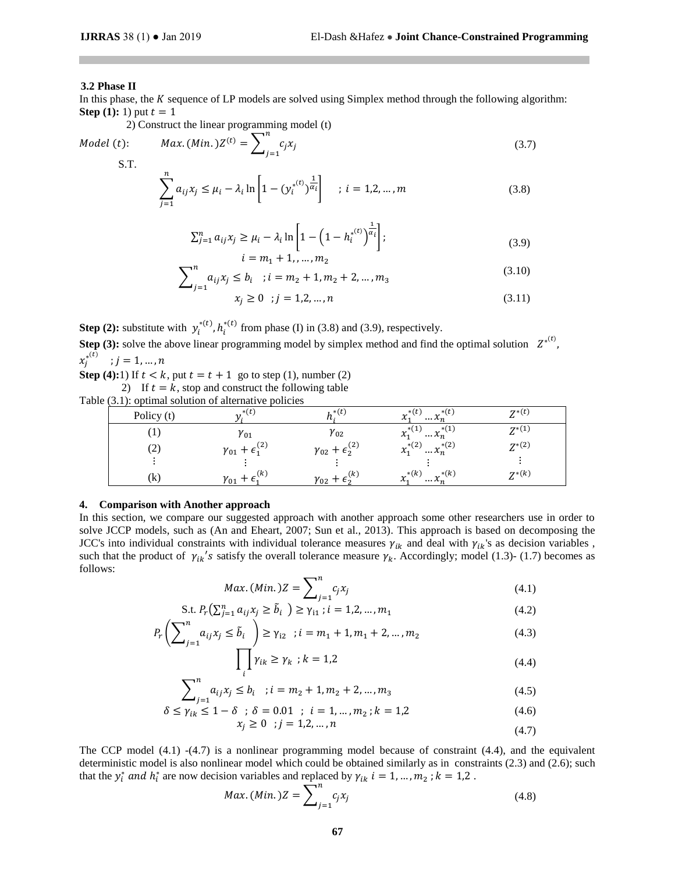# **3.2 Phase II**

In this phase, the  $K$  sequence of LP models are solved using Simplex method through the following algorithm: **Step (1):** 1) put  $t = 1$ 

2) Construct the linear programming model (t)

Model (t): 
$$
Max.(Min.)Z^{(t)} = \sum_{j=1}^{n} c_j x_j
$$
 (3.7)

$$
\sum_{j=1}^{n} a_{ij} x_j \le \mu_i - \lambda_i \ln \left[ 1 - (y_i^{(t)})^{\frac{1}{\alpha_i}} \right] \quad ; \ i = 1, 2, \dots, m \tag{3.8}
$$

$$
\sum_{j=1}^{n} a_{ij} x_j \ge \mu_i - \lambda_i \ln \left[ 1 - \left( 1 - h_i^{*(t)} \right)^{\frac{1}{\alpha_i}} \right];
$$
\n
$$
i = m_1 + 1, \dots, m_2
$$
\n(3.9)

$$
\sum_{j=1}^{n} a_{ij} x_j \le b_i \quad ; i = m_2 + 1, m_2 + 2, ..., m_3 \tag{3.10}
$$

<span id="page-3-1"></span><span id="page-3-0"></span>
$$
x_j \ge 0 \quad ; j = 1, 2, \dots, n \tag{3.11}
$$

**Step (2):** substitute with  $y_i^{*(t)}$ ,  $h_i^{*(t)}$  from phase (I) in [\(3.8\)](#page-3-0) and [\(3.9\),](#page-3-1) respectively.

**Step (3):** solve the above linear programming model by simplex method and find the optimal solution  $Z^{*(t)}$ ,  $x_j^{*(t)}$  ;  $j = 1, ..., n$ 

**Step (4):1)** If  $t < k$ , put  $t = t + 1$  go to step (1), number (2)

2) If  $t = k$ , stop and construct the following table

Table (3.1): optimal solution of alternative policies

| Policy (t)        |                 | $*(t)$                               | $\cdot$ (t)<br>$\ldots x_n^{*(t)}$<br>$\mathbf v$<br>$\mathcal{N}_{1}$ | $Z^{*(t)}$ |
|-------------------|-----------------|--------------------------------------|------------------------------------------------------------------------|------------|
|                   | $\gamma_{01}$   | $\gamma_{02}$                        | $\ldots x_n^{*(1)}$<br>$x_1^{*(1)}$                                    | $7^{*(1)}$ |
| $\left( 2\right)$ | (2)<br>$v_{01}$ | $+\epsilon_2^{(2)}$<br>$\gamma_{02}$ | $r^{*(2)}$<br>$\ldots x_n^{*(2)}$<br>$\mathcal{N}_{1}$                 | $Z^{*(2)}$ |
|                   |                 |                                      |                                                                        |            |
| (k)               | (k<br>$v_{01}$  | (k`<br>${\gamma}_{02}$ .             | $\cdot^*(k)$<br>$r^{*(k)}$<br>$\cdots \lambda_{n}$<br>$\mathcal{N}$    | $Z^{*(k)}$ |

#### **4. Comparison with Another approach**

In this section, we compare our suggested approach with another approach some other researchers use in order to solve JCCP models, such as (An and Eheart, 2007; Sun et al., 2013). This approach is based on decomposing the JCC's into individual constraints with individual tolerance measures  $\gamma_{ik}$  and deal with  $\gamma_{ik}$ 's as decision variables, such that the product of  $\gamma_{ik}$ 's satisfy the overall tolerance measure  $\gamma_k$ . Accordingly; model [\(1.3\)-](#page-1-0) [\(1.7\)](#page-1-1) becomes as follows:

$$
Max. (Min.)Z = \sum_{j=1}^{n} c_j x_j
$$
\n
$$
(4.1)
$$

S.t. 
$$
P_r(\sum_{j=1}^n a_{ij}x_j \ge \tilde{b}_i) \ge \gamma_{i1}
$$
;  $i = 1, 2, ..., m_1$  (4.2)

$$
P_r\left(\sum_{j=1}^n a_{ij} x_j \le \tilde{b}_i\right) \ge \gamma_{i2} \quad ; i = m_1 + 1, m_1 + 2, \dots, m_2 \tag{4.3}
$$

<span id="page-3-4"></span><span id="page-3-3"></span><span id="page-3-2"></span>
$$
\prod_{i} \gamma_{ik} \ge \gamma_k \quad ; k = 1, 2 \tag{4.4}
$$

$$
\sum_{j=1}^{n} a_{ij} x_j \le b_i \quad ; i = m_2 + 1, m_2 + 2, \dots, m_3 \tag{4.5}
$$

$$
\delta \le \gamma_{ik} \le 1 - \delta \quad ; \ \delta = 0.01 \quad ; \ \ i = 1, \dots, m_2 \ ; k = 1, 2
$$
\n
$$
x_j \ge 0 \quad ; j = 1, 2, \dots, n \tag{4.7}
$$

The CCP model  $(4.1)$  - $(4.7)$  is a nonlinear programming model because of constraint  $(4.4)$ , and the equivalent deterministic model is also nonlinear model which could be obtained similarly as in constraints [\(2.3\)](#page-1-6) and [\(2.6\);](#page-2-0) such that the  $y_i^*$  and  $h_i^*$  are now decision variables and replaced by  $\gamma_{ik}$   $i = 1, ..., m_2$ ;  $k = 1, 2$ .

<span id="page-3-5"></span>
$$
Max. (Min.)Z = \sum_{j=1}^{n} c_j x_j
$$
\n(4.8)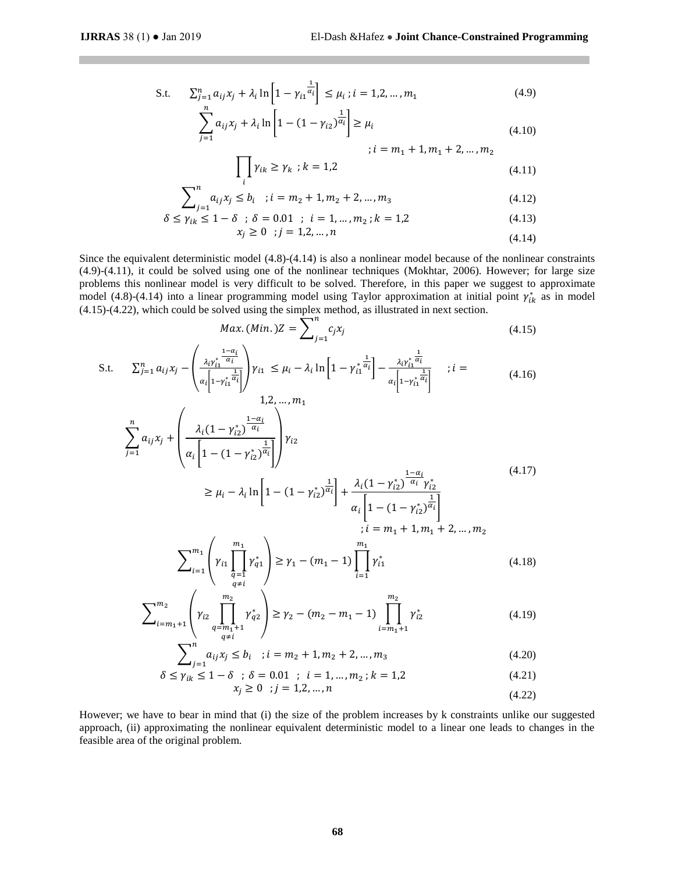$\mathbf{u}$ 

S.t. 
$$
\sum_{j=1}^{n} a_{ij} x_j + \lambda_i \ln \left[ 1 - \gamma_{i1} \frac{1}{a_i} \right] \le \mu_i ; i = 1, 2, ..., m_1
$$
 (4.9)

$$
\sum_{j=1}^{n} a_{ij} x_j + \lambda_i \ln \left[ 1 - (1 - \gamma_{i2})^{\frac{1}{\alpha_i}} \right] \ge \mu_i
$$
\n(4.10)

<span id="page-4-3"></span><span id="page-4-2"></span><span id="page-4-1"></span><span id="page-4-0"></span>
$$
; i = m_1 + 1, m_1 + 2, ..., m_2
$$

$$
\prod_{i} \gamma_{ik} \ge \gamma_k \quad ; k = 1,2 \tag{4.11}
$$

$$
\sum_{j=1}^{n} a_{ij} x_j \le b_i \quad ; i = m_2 + 1, m_2 + 2, \dots, m_3 \tag{4.12}
$$

$$
\delta \le \gamma_{ik} \le 1 - \delta \quad ; \quad \delta = 0.01 \quad ; \quad i = 1, \dots, m_2 \; ; \; k = 1, 2 \tag{4.13}
$$

$$
x_j \ge 0 \quad ; j = 1, 2, \dots, n \tag{4.14}
$$

Since the equivalent deterministic model [\(4.8\)](#page-3-5)[-\(4.14\)](#page-4-0) is also a nonlinear model because of the nonlinear constraints [\(4.9\)](#page-4-1)[-\(4.11\),](#page-4-2) it could be solved using one of the nonlinear techniques (Mokhtar, 2006). However; for large size problems this nonlinear model is very difficult to be solved. Therefore, in this paper we suggest to approximate model [\(4.8\)](#page-3-5)[-\(4.14\)](#page-4-0) into a linear programming model using Taylor approximation at initial point  $\gamma_{ik}^*$  as in model [\(4.15\)](#page-4-3)[-\(4.22\),](#page-4-4) which could be solved using the simplex method, as illustrated in next section.

$$
Max. (Min.)Z = \sum_{j=1}^{n} c_j x_j
$$
 (4.15)

S.t. 
$$
\sum_{j=1}^{n} a_{ij} x_{j} - \left( \frac{\lambda_{i} \gamma_{i1}^{*} \frac{1 - \alpha_{i}}{\alpha_{i}}}{\alpha_{i} \left[ 1 - \gamma_{i1}^{*} \frac{1}{\alpha_{i}} \right]} \right) \gamma_{i1} \leq \mu_{i} - \lambda_{i} \ln \left[ 1 - \gamma_{i1}^{*} \frac{1}{\alpha_{i}} \right] - \frac{\lambda_{i} \gamma_{i1}^{*} \frac{1}{\alpha_{i}}}{\alpha_{i} \left[ 1 - \gamma_{i1}^{*} \frac{1 - \alpha_{i}}{\alpha_{i}} \right]} \quad ; i =
$$
\n
$$
\sum_{j=1}^{n} a_{ij} x_{j} + \left( \frac{\lambda_{i} (1 - \gamma_{i2}^{*}) \frac{1 - \alpha_{i}}{\alpha_{i}}}{\alpha_{i} \left[ 1 - (1 - \gamma_{i2}^{*}) \frac{1}{\alpha_{i}} \right]} \right) \gamma_{i2}
$$
\n
$$
\geq \mu_{i} - \lambda_{i} \ln \left[ 1 - (1 - \gamma_{i2}^{*}) \frac{1}{\alpha_{i}} \right] + \frac{\lambda_{i} (1 - \gamma_{i2}^{*}) \frac{1 - \alpha_{i}}{\alpha_{i}} \gamma_{i2}^{*}}{\alpha_{i} \left[ 1 - (1 - \gamma_{i2}^{*}) \frac{1 - \alpha_{i}}{\alpha_{i}} \right]} \quad ; i = m_{1} + 1, m_{1} + 2, ..., m_{2}
$$
\n
$$
\sum_{i=1}^{m_{1}} \left( \gamma_{i1} \prod_{q=i}^{m_{1}} \gamma_{q1}^{*} \right) \geq \gamma_{1} - (m_{1} - 1) \prod_{i=1}^{m_{1}} \gamma_{i1}^{*} \tag{4.18}
$$

$$
\sum_{i=m_1+1}^{m_2} \left( \gamma_{i2} \prod_{\substack{q=m_1+1\\q\neq i}}^{m_2} \gamma_{q2}^* \right) \ge \gamma_2 - (m_2 - m_1 - 1) \prod_{i=m_1+1}^{m_2} \gamma_{i2}^* \tag{4.19}
$$

$$
\sum_{j=1}^{n} a_{ij} x_j \le b_i \quad ; i = m_2 + 1, m_2 + 2, \dots, m_3 \tag{4.20}
$$

$$
\delta \le \gamma_{ik} \le 1 - \delta \quad ; \ \delta = 0.01 \quad ; \ \ i = 1, \dots, m_2 \ ; k = 1, 2 \tag{4.21}
$$

<span id="page-4-4"></span>
$$
x_j \ge 0 \quad ; j = 1, 2, \dots, n \tag{4.22}
$$

However; we have to bear in mind that (i) the size of the problem increases by k constraints unlike our suggested approach, (ii) approximating the nonlinear equivalent deterministic model to a linear one leads to changes in the feasible area of the original problem.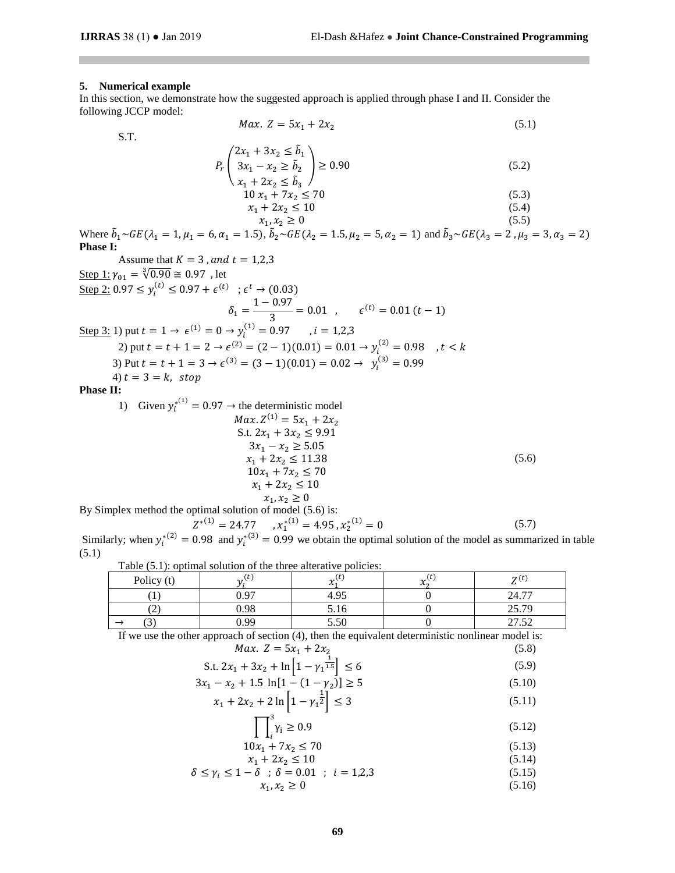# **5. Numerical example**

In this section, we demonstrate how the suggested approach is applied through phase I and II. Consider the following JCCP model:

S.T.

$$
Max. Z = 5x_1 + 2x_2
$$
\n(5.1)  
\n
$$
P_r \begin{pmatrix} 2x_1 + 3x_2 \le \tilde{b}_1 \\ 3x_1 - x_2 \ge \tilde{b}_2 \\ x_1 + 2x_2 \le \tilde{b}_3 \end{pmatrix} \ge 0.90
$$
\n(5.2)  
\n
$$
10x_1 + 7x_2 \le 70
$$
\n(5.3)  
\n
$$
x_1 + 2x_2 \le 10
$$
\n(5.4)

 $x_1, x_2 \ge 0$  $, x_2 \ge 0$  (5.5) Where  $\tilde{b}_1 \sim GE(\lambda_1 = 1, \mu_1 = 6, \alpha_1 = 1.5)$ ,  $\tilde{b}_2 \sim GE(\lambda_2 = 1.5, \mu_2 = 5, \alpha_2 = 1)$  and  $\tilde{b}_3 \sim GE(\lambda_3 = 2, \mu_3 = 3, \alpha_3 = 2)$ **Phase I:**

Assume that 
$$
K = 3
$$
, and  $t = 1,2,3$   
\nStep 1:  $\gamma_{01} = \sqrt[3]{0.90} \approx 0.97$ , let  
\nStep 2:  $0.97 \le y_i^{(t)} \le 0.97 + \epsilon^{(t)}$ ;  $\epsilon^t \to (0.03)$   
\n $\delta_1 = \frac{1 - 0.97}{3} = 0.01$ ,  $\epsilon^{(t)} = 0.01 (t - 1)$   
\nStep 3: 1) put  $t = 1 \to \epsilon^{(1)} = 0 \to y_i^{(1)} = 0.97$ ,  $i = 1,2,3$   
\n2) put  $t = t + 1 = 2 \to \epsilon^{(2)} = (2 - 1)(0.01) = 0.01 \to y_i^{(2)} = 0.98$ ,  $t < k$   
\n3) Put  $t = t + 1 = 3 \to \epsilon^{(3)} = (3 - 1)(0.01) = 0.02 \to y_i^{(3)} = 0.99$   
\n4)  $t = 3 = k$ , stop  
\nPhase II:  
\n1) Given  $y_i^{*(1)} = 0.97 \to$  the deterministic model  
\n $\begin{aligned}\nMax.Z^{(1)} &= 5x_1 + 2x_2 \\
S.t. 2x_1 + 3x_2 \le 9.91 \\
3x_1 - x_2 \ge 5.05 \\
x_1 + 2x_2 \le 11.38 \\
10x_1 + 7x_2 \le 70\n\end{aligned}$  (5.6)

$$
x_1 + 2x_2 \le 10
$$
  
By Simplex method the optimal solution of model (5.6) is:  

$$
Z^{*(1)} = 24.77 \quad , x_1^{*(1)} = 4.95 \quad , x_2^{*(1)} = 0
$$
  

$$
Z^{*(2)} = 29.888 \quad , x_1^{*(3)} = 4.95 \quad , x_2^{*(1)} = 0
$$
 (5.7)

Similarly; when  $y_i^{(2)} = 0.98$  and  $y_i^{(3)} = 0.99$  we obtain the optimal solution of the model as summarized in table (5.1)

| Table $(5.1)$ : optimal solution of the three alterative policies:                                  |       |      |               |                 |  |
|-----------------------------------------------------------------------------------------------------|-------|------|---------------|-----------------|--|
| Policy (t)                                                                                          |       |      | $v^{(\iota)}$ | $\mathbf{z}(t)$ |  |
|                                                                                                     | .1.97 |      |               | 24.77           |  |
|                                                                                                     | 0.98  | 5.16 |               | 25.79           |  |
|                                                                                                     | 0.99  | 5.50 |               | 27.52           |  |
| If we use the other ennroach of section $(4)$ then the equivalent deterministic poplinear model is: |       |      |               |                 |  |

If we use the other approach of section (4), then the equivalent deterministic nonlinear model is:

<span id="page-5-0"></span>

| <i>Max.</i> $Z = 5x_1 + 2x_2$                                           | (5.8)  |
|-------------------------------------------------------------------------|--------|
| S.t. $2x_1 + 3x_2 + \ln\left[1 - \gamma_1^{\frac{1}{1.5}}\right] \le 6$ | (5.9)  |
| $3x_1 - x_2 + 1.5 \ln[1 - (1 - \gamma_2)] \ge 5$                        | (5.10) |
| $x_1 + 2x_2 + 2\ln\left[1 - \gamma_1^{\frac{1}{2}}\right] \leq 3$       | (5.11) |

<span id="page-5-2"></span><span id="page-5-1"></span>
$$
\prod_{i}^{3} \gamma_i \ge 0.9 \tag{5.12}
$$

$$
10x_1 + 7x_2 \le 70 \tag{5.13}
$$
\n
$$
x_1 + 2x_2 \le 10 \tag{5.14}
$$

$$
\delta \le \gamma_i \le 1 - \delta \quad ; \quad \delta = 0.01 \quad ; \quad i = 1, 2, 3
$$
\n
$$
x_1, x_2 \ge 0 \tag{5.15}
$$
\n
$$
(5.15)
$$
\n
$$
(5.16)
$$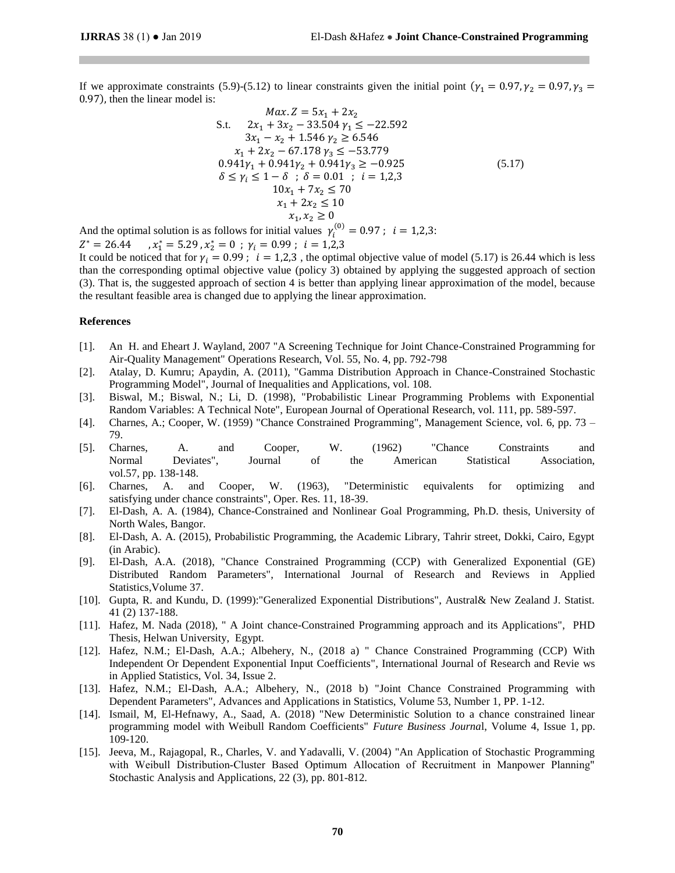If we approximate constraints [\(5.9\)](#page-5-1)[-\(5.12\)](#page-5-2) to linear constraints given the initial point ( $\gamma_1 = 0.97, \gamma_2 = 0.97, \gamma_3 =$ 0.97), then the linear model is:

<span id="page-6-0"></span>
$$
Max. Z = 5x_1 + 2x_2
$$
  
\nS.t.  $2x_1 + 3x_2 - 33.504 \gamma_1 \le -22.592$   
\n $3x_1 - x_2 + 1.546 \gamma_2 \ge 6.546$   
\n $x_1 + 2x_2 - 67.178 \gamma_3 \le -53.779$   
\n $0.941\gamma_1 + 0.941\gamma_2 + 0.941\gamma_3 \ge -0.925$   
\n $\delta \le \gamma_i \le 1 - \delta \; ; \; \delta = 0.01 \; ; \; i = 1,2,3$   
\n $10x_1 + 7x_2 \le 70$   
\n $x_1 + 2x_2 \le 10$   
\n $x_1, x_2 \ge 0$ 

And the optimal solution is as follows for initial values  $\gamma_i^{(0)} = 0.97$ ;  $i = 1,2,3$ :  $Z^* = 26.44$ ,  $x_1^*$  $x_1^* = 5.29$ ,  $x_2^* = 0$ ;  $\gamma_i = 0.99$ ;  $i = 1,2,3$ 

It could be noticed that for  $\gamma_i = 0.99$ ;  $i = 1,2,3$ , the optimal objective value of model [\(5.17\)](#page-6-0) is 26.44 which is less than the corresponding optimal objective value (policy 3) obtained by applying the suggested approach of section (3). That is, the suggested approach of section 4 is better than applying linear approximation of the model, because the resultant feasible area is changed due to applying the linear approximation.

#### **References**

- [1]. An H. and Eheart J. Wayland, 2007 "A Screening Technique for Joint Chance-Constrained Programming for Air-Quality Management" Operations Research, Vol. 55, No. 4, pp. 792-798
- [2]. Atalay, D. Kumru; Apaydin, A. (2011), "Gamma Distribution Approach in Chance-Constrained Stochastic Programming Model", Journal of Inequalities and Applications, vol. 108.
- [3]. Biswal, M.; Biswal, N.; Li, D. (1998), "Probabilistic Linear Programming Problems with Exponential Random Variables: A Technical Note", European Journal of Operational Research, vol. 111, pp. 589-597.
- [4]. Charnes, A.; Cooper, W. (1959) "Chance Constrained Programming", Management Science, vol. 6, pp. 73 79.
- [5]. Charnes, A. and Cooper, W. (1962) "Chance Constraints and Normal Deviates", Journal of the American Statistical Association, vol.57, pp. 138-148.
- [6]. Charnes, A. and Cooper, W. (1963), "Deterministic equivalents for optimizing and satisfying under chance constraints", Oper. Res. 11, 18-39.
- [7]. El-Dash, A. A. (1984), Chance-Constrained and Nonlinear Goal Programming, Ph.D. thesis, University of North Wales, Bangor.
- [8]. El-Dash, A. A. (2015), Probabilistic Programming, the Academic Library, Tahrir street, Dokki, Cairo, Egypt (in Arabic).
- [9]. El-Dash, A.A. (2018), "Chance Constrained Programming (CCP) with Generalized Exponential (GE) Distributed Random Parameters", International Journal of Research and Reviews in Applied Statistics,Volume 37.
- [10]. Gupta, R. and Kundu, D. (1999):"Generalized Exponential Distributions", Austral& New Zealand J. Statist. 41 (2) 137-188.
- [11]. Hafez, M. Nada (2018), " A Joint chance-Constrained Programming approach and its Applications", PHD Thesis, Helwan University, Egypt.
- [12]. Hafez, N.M.; El-Dash, A.A.; Albehery, N., (2018 a) " Chance Constrained Programming (CCP) With Independent Or Dependent Exponential Input Coefficients", International Journal of Research and Revie ws in Applied Statistics, Vol. 34, Issue 2.
- [13]. Hafez, N.M.; El-Dash, A.A.; Albehery, N., (2018 b) "Joint Chance Constrained Programming with Dependent Parameters", Advances and Applications in Statistics, Volume 53, Number 1, PP. 1-12.
- [14]. [Ismail,](https://www.sciencedirect.com/science/article/pii/S2314721018300136#!) M, [El-Hefnawy,](https://www.sciencedirect.com/science/article/pii/S2314721018300136#!) A., [Saad, A.](https://www.sciencedirect.com/science/article/pii/S2314721018300136#!) (2018) "New Deterministic Solution to a chance constrained linear programming model with Weibull Random Coefficients" *[Future Business Journa](https://www.sciencedirect.com/science/journal/23147210)*l, [Volume 4, Issue 1,](https://www.sciencedirect.com/science/journal/23147210/4/1) pp. 109-120.
- [15]. Jeeva, M., Rajagopal, R., Charles, V. and Yadavalli, V. (2004) "An Application of Stochastic Programming with Weibull Distribution-Cluster Based Optimum Allocation of Recruitment in Manpower Planning" Stochastic Analysis and Applications, 22 (3), pp. 801-812.